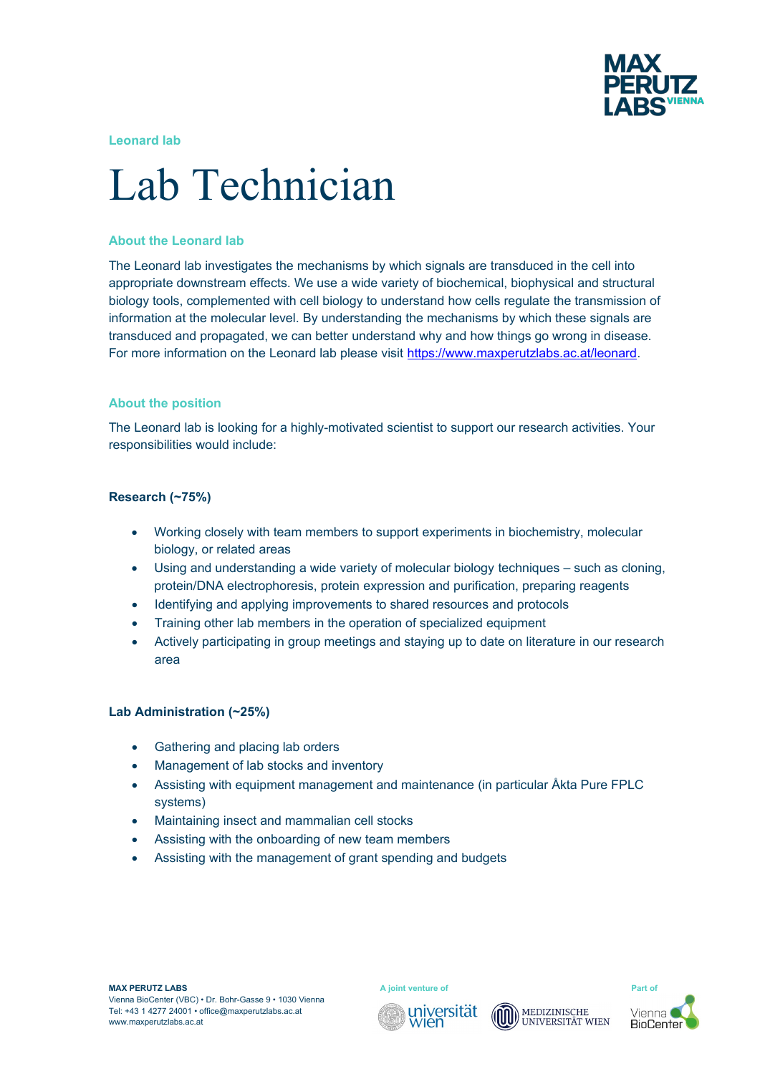

**Leonard lab**

# Lab Technician

## **About the Leonard lab**

The Leonard lab investigates the mechanisms by which signals are transduced in the cell into appropriate downstream effects. We use a wide variety of biochemical, biophysical and structural biology tools, complemented with cell biology to understand how cells regulate the transmission of information at the molecular level. By understanding the mechanisms by which these signals are transduced and propagated, we can better understand why and how things go wrong in disease. For more information on the Leonard lab please visit <https://www.maxperutzlabs.ac.at/leonard>.

## **About the position**

The Leonard lab is looking for a highly-motivated scientist to support our research activities. Your responsibilities would include:

## **Research (~75%)**

- Working closely with team members to support experiments in biochemistry, molecular biology, or related areas
- Using and understanding a wide variety of molecular biology techniques such as cloning, protein/DNA electrophoresis, protein expression and purification, preparing reagents
- Identifying and applying improvements to shared resources and protocols
- Training other lab members in the operation of specialized equipment
- Actively participating in group meetings and staying up to date on literature in our research area

#### **Lab Administration (~25%)**

- Gathering and placing lab orders
- Management of lab stocks and inventory
- Assisting with equipment management and maintenance (in particular Åkta Pure FPLC systems)
- Maintaining insect and mammalian cell stocks
- Assisting with the onboarding of new team members
- Assisting with the management of grant spending and budgets